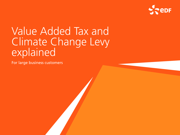

# Value Added Tax and Climate Change Levy explained

For large business customers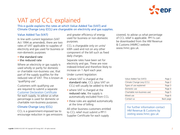

# VAT and CCL explained

This e-guide explains the rates at which Value Added Tax (VAT) and Climate Change Levy (CCL) are chargeable on electricity and gas supplies.

### Value Added Tax (VAT)

In line with current legislation (VAT Act 1994 as amended), there are two rates of VAT applicable to supplies of electricity and gas used for business or non-domestic purposes:

- the standard rate
- the reduced rate

Where an electricity or gas supply is used wholly or partly for domestic or charitable non-business use, that part of the supply qualifies for the reduced rate of VAT. This is known as 'qualifying use'.

Customers with qualifying use are required to submit a separate Customer Declaration Certificate for each supply, to advise us what percentage is used for domestic or charitable non-business purposes.

### Climate Change Levy (CCL)

CCL is a government-imposed tax to encourage reduction in gas emissions and greater efficiency of energy used for business or non-domestic purposes.

CCL is chargeable only on units/ kWh used and not on any other component of the bill such as fixed daily charges.

Separate rates have been set for electricity and gas. These are now indexed-linked and therefore likely to increase on 1 April each year.

Under current legislation:

- where VAT is charged at the standard rate, CCL (plus VAT on CCL) will usually be added to the bill
- where VAT is charged at the reduced rate, the supply is automatically excluded from CCL
- these rules are applied automatically at the time of billing

All other business customers entitled to CCL relief must submit a PP11 Supplier Certificate for each supply

covered, to advise us what percentage of CCL relief is applicable. PP11s can be downloaded from the HM Revenue & Customs (HMRC) website: www.hmrc.gov.uk.

| Value Added Tax (VAT))       | Page 2    |
|------------------------------|-----------|
| Climate Change Levy (CCL)    | Page 2    |
| Types of use explained       | Page 3    |
| Domestic use                 | Page 4    |
| Charitable non-business use) | Page 5    |
| Mixed use                    | Page 6    |
| Contact us                   | Back page |

For further information contact HM Revenue & Customs by visiting www.hmrc.gov.uk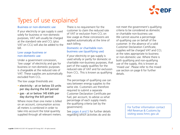

# Types of use explained

### Business or non-domestic use

If your electricity or gas supply is used solely for business or non-domestic purposes, VAT will usually be charged at the standard rate and CCL (plus VAT on CCL) will also be added to the bill.

### Low usage business or non-domestic use

Under a government concession, 'low usage' of electricity and gas for business or non-domestic purposes is chargeable at the reduced rate of VAT. These supplies are automatically excluded from CCL.

The low usage thresholds are:

- electricity at or below 33 units per day during the bill period
- gas at or below 145 kWh per day during the bill period

Where more than one meter is billed on an account, consumption across all meters is combined in order to take into account the total quantity supplied through all relevant meters. There is no requirement for the customer to claim the reduced rate of VAT or exclusion from CCL on low usage as these concessions are applied automatically at the time of each billing.

### Domestic or charitable nonbusiness use (qualifying use)

If your electricity or gas supply is used wholly or partly for domestic or charitable non-business purposes, that part of the supply qualifies for the reduced rate of VAT and for exclusion from CCL. This is known as qualifying use.

The percentage of qualifying use can vary between energy supplies to the same site. Customers are therefore required to submit a separate Customer Declaration Certificate per fuel, per account, to advise us what percentage of each supply meets the qualifying criteria (set by the government).

See pages 4 and 5 for further details regarding which activities do and do

not meet the government's qualifying criteria to be considered as domestic or charitable non-business use. We cannot assume a percentage of qualifying use on behalf of the customer. In the absence of a valid Customer Declaration Certificate, supplies will be charged VAT and CCL at the rates appropriate to business or non-domestic use. Where there is both qualifying and non-qualifying use of the supply, this is known as 'mixed use'. Please refer to the mixed use section on page 6 for further details.

> For further information contact HM Revenue & Customs by visiting www.hmrc.gov.uk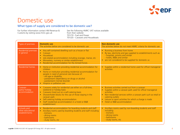

### Domestic use

### What types of supply are considered to be domestic use?

For further information contact HM Revenue & Customs by visiting www.hmrc.gov.uk

See the following HMRC VAT notices available from their website: 701/19 - Fuel and Power 701/20 - Caravans and Houseboats

| Types of premises                                         | <b>Domestic use</b><br>The activities below are considered to be domestic use                                                                                                                                                                                                                                                                      | <b>Non-domestic use</b><br>The activities below do not meet HMRC criteria for domestic use                                                                                                                                                                                                                                                        |
|-----------------------------------------------------------|----------------------------------------------------------------------------------------------------------------------------------------------------------------------------------------------------------------------------------------------------------------------------------------------------------------------------------------------------|---------------------------------------------------------------------------------------------------------------------------------------------------------------------------------------------------------------------------------------------------------------------------------------------------------------------------------------------------|
| Residential premises<br>in general                        | • Any self-contained dwelling such as a house or flat<br>Caravan<br>Houseboat<br>Job-related accommodation including vicarage, manse, etc<br>Monastery, nunnery or similar establishment<br>Residential accommodation for the Armed Forces                                                                                                         | Running a business from home<br>$\bullet$<br>By law, electricity and gas supplied to establishments such as:<br>- hospitals, prisons and similar<br>- hotels, B&Bs and similar<br>are not considered to be supplied for domestic us                                                                                                               |
| <b>Residential homes</b>                                  | • Home or institution providing residential accommodation for<br>children<br>Home or institution providing residential accommodation for<br>$\bullet$<br>people in need of personal care because of:<br>- old age or disability<br>- past/present dependency on drugs or alcohol<br>- past/present mental disorder<br>• Hospice or palliative care | Supplies within a residential home used for office/ managerial<br>$\bullet$<br><b>activities</b>                                                                                                                                                                                                                                                  |
| Caravan<br>parks/holiday<br>accommodation                 | • Caravans solely for residential use either on a full-time,<br>weekend or holiday basis<br>• Caravans hired out on a self-catering basis<br>Shower/toilet blocks for the use of those staying in the<br>caravan park<br>Self-catering holiday accommodation<br>Staff residential accommodation in a hotel or B&B<br>establishment                 | Business activities carried out from a caravan<br>$\bullet$<br>Supplies within a caravan park used for office/ managerial<br>activities<br>Non-residential services within a caravan park such as retail or<br>catering outlets<br>Leisure or sport activities for which a charge is made<br>$\bullet$<br>Hotel or B&B accommodation<br>$\bullet$ |
| Schools and<br>other educational<br><b>establishments</b> | • Residential accommodation for boarding students and staff<br>Ancillary rooms used by boarding students and staff including:<br>- kitchens<br>- dining rooms<br>- bathrooms<br>- study rooms, etc                                                                                                                                                 | Ancillary rooms used by non-boarding students and staff<br>$\bullet$<br>including:<br>- kitchens<br>- dining rooms<br>- bathrooms<br>- study rooms, etc                                                                                                                                                                                           |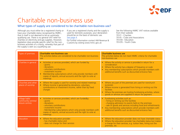

# Charitable non-business use

### What types of supply are considered to be charitable non-business use?

Although you must either be a registered charity or have your charitable status recognised by HMRC, that in itself is not deemed to be an automatic qualifying use. There is no general VAT relief for charities on electricity and gas supplies. However, legislation does provide specific relief for the nonbusiness activities of a charity, whereby that part of the supply is seen as a qualifying use.

If you are a registered charity and the supply is used for domestic purposes, your declaration should be on the basis of domestic use. See page 4.

For further information contact HM Revenue & Customs by visiting www.hmrc.gov.uk

See the following HMRC VAT notices available from their website: 701/1 - Charities 701/5 - Clubs and Associations 701/30 - Education 701/35 - Youth Clubs

| Types of premises                                       | <b>Charitable non-business use</b><br>The activities below are considered to be charitable non-business<br>use                                                                                                                                                                            | <b>Charitable business use</b><br>The activities below do not meet HMRC criteria for charitable<br>non-business use                                                                                                                                                                                                              |
|---------------------------------------------------------|-------------------------------------------------------------------------------------------------------------------------------------------------------------------------------------------------------------------------------------------------------------------------------------------|----------------------------------------------------------------------------------------------------------------------------------------------------------------------------------------------------------------------------------------------------------------------------------------------------------------------------------|
| Charities in general                                    | • Activities or services provided, which are funded by<br>- grants<br>- donations<br>- voluntary contributions<br>- investment income<br>Membership subscriptions which only provide members with<br>$\bullet$<br>copies of reports, annual accounts and the right to vote at<br>meetings | • Where the activity or service is provided in return for a<br>consideration<br>Where the activity has a degree of frequency or scale<br>Any membership subscriptions which provide members with<br>$\bullet$<br>additional benefits such as discounted entrance fees                                                            |
| Churches and other<br>places of worship                 | Where the supply is used for worship and related meetings<br>$\bullet$<br>• Where income is generated by donations, voluntary<br>contributions or investment income, rather than by fixed<br>charges                                                                                      | Where any part of the premises are used for nonchurch<br>$\bullet$<br>purposes<br>• Where income is generated from hiring or renting out the<br>facilities<br>Where the premises are hosting fundraising activities, where<br>$\bullet$<br>goods or services are supplied in return for payment                                  |
| Village halls/<br>community centres/<br>leisure centres | Activities or services provided, which are fundedby:<br>$\bullet$<br>- grants<br>- donations<br>- voluntary contributions<br>- investment income<br>- Membership subscriptions which only provide members with<br>copies of reports, annual accounts and the right to vote at<br>meetings | Fundraising activities such as:<br>$\bullet$<br>- hiring or renting out the facilities<br>- charging admission to events held on the premises<br>- sale of goods and services including food and refreshments<br>Any membership subscriptions which provide members with<br>additional benefits such as discounted entrance fees |
| Education                                               | • Where the education provider:<br>- has charitable status and<br>- does not charge for their services                                                                                                                                                                                    | Where the education provider does not have charitable status<br>$\bullet$<br>Where the education provider has charitable status but makes<br>a charge for their services, e.g. tuition fees, hiring out the<br>premises, etc                                                                                                     |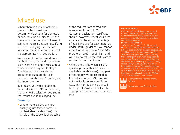

### Mixed use

Where there is a mix of activities. some of which meet the government's criteria for domestic or charitable non-business use and some which do not, you will need to estimate the split between qualifying and non-qualifying use, for each individual meter, in order to submit the appropriate VAT declaration.

Your estimate can be based on any method that is 'fair and reasonable', such as rating of appliances, annual consumption or square footage. Charities can use their annual accounts to estimate the split between 'non-business' funding and 'business' income.

In all cases, you must be able to demonstrate to HMRC (if required), that any VAT declaration you submit, represents a valid qualifying use.

### Currently:

• Where there is 60% or more qualifying use (either domestic or charitable non-business), the whole of the supply is chargeable

at the reduced rate of VAT and is excluded from CCL. Your Customer Declaration Certificate should, however, reflect your best estimate of the actual percentage of qualifying use for each meter as, under HMRC guidelines, we cannot accept wording such as 'over 60%, therefore 100%' - or similar - and will have to return the certificate to you for further clarification.

• Where there is between 1-59% qualifying use (either domestic or charitable non-business), that part of the supply will be charged at the reduced rate of VAT and will automatically be excluded from CCL. The non-qualifying use will be subject to VAT and CCL at the appropriate business /non-domestic rate

### Declaration forms:

Customers with qualifying use are required to submit a separate Customer Declaration Certificate for each supply, to advise us what percentage is used for domestic or charitable non-business purposes.

#### Important information

VAT Customer Declaration Certificates and PP11 Supplier Certificates are not transferable between suppliers. When changing suppliers, you should ensure that the appropriate certificates are submitted to your new supplier, advising the percentage of relief which is applicable to each supply. Once accepted, your declaration will remain valid indefinitely. If there is a change in your qualifying use, you should notify us by submitting a revised Customer Declaration Certificate. Any false statement or failure to notify us of a change in qualifying use may make you liable to a financial penalty under the VAT Act 1994 (as amended from time to time)



To complete your certificate online, [click here](https://www.edfenergy.com/form/sme-vat-dec-form?width=700&height=700&popup=1?width=700&height=700&popup=1)

To download a certificate [click here](https://www.edfenergy.com/sites/default/files/b2b_vat_certificate_of_declaration_10_digits_ora.pdf)